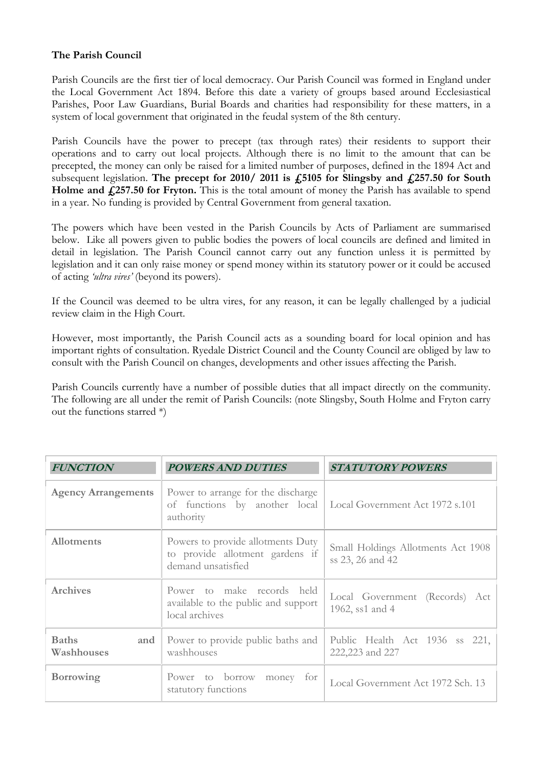## **The Parish Council**

Parish Councils are the first tier of local democracy. Our Parish Council was formed in England under the Local Government Act 1894. Before this date a variety of groups based around Ecclesiastical Parishes, Poor Law Guardians, Burial Boards and charities had responsibility for these matters, in a system of local government that originated in the feudal system of the 8th century.

Parish Councils have the power to precept (tax through rates) their residents to support their operations and to carry out local projects. Although there is no limit to the amount that can be precepted, the money can only be raised for a limited number of purposes, defined in the 1894 Act and subsequent legislation. **The precept for 2010/ 2011 is £5105 for Slingsby and £257.50 for South**  Holme and £257.50 for Fryton. This is the total amount of money the Parish has available to spend in a year. No funding is provided by Central Government from general taxation.

The powers which have been vested in the Parish Councils by Acts of Parliament are summarised below. Like all powers given to public bodies the powers of local councils are defined and limited in detail in legislation. The Parish Council cannot carry out any function unless it is permitted by legislation and it can only raise money or spend money within its statutory power or it could be accused of acting *'ultra vires'* (beyond its powers).

If the Council was deemed to be ultra vires, for any reason, it can be legally challenged by a judicial review claim in the High Court.

However, most importantly, the Parish Council acts as a sounding board for local opinion and has important rights of consultation. Ryedale District Council and the County Council are obliged by law to consult with the Parish Council on changes, developments and other issues affecting the Parish.

Parish Councils currently have a number of possible duties that all impact directly on the community. The following are all under the remit of Parish Councils: (note Slingsby, South Holme and Fryton carry out the functions starred  $*)$ 

| <b>FUNCTION</b>                   | <b>POWERS AND DUTIES</b>                                                                   | <b>STATUTORY POWERS</b>                                |
|-----------------------------------|--------------------------------------------------------------------------------------------|--------------------------------------------------------|
| <b>Agency Arrangements</b>        | Power to arrange for the discharge<br>of functions by another local<br>authority           | Local Government Act 1972 s.101                        |
| <b>Allotments</b>                 | Powers to provide allotments Duty<br>to provide allotment gardens if<br>demand unsatisfied | Small Holdings Allotments Act 1908<br>ss 23, 26 and 42 |
| <b>Archives</b>                   | Power to make records held<br>available to the public and support<br>local archives        | Local Government (Records) Act<br>1962, ss1 and 4      |
| <b>Baths</b><br>and<br>Washhouses | Power to provide public baths and<br>washhouses                                            | Public Health Act 1936 ss<br>221,<br>222,223 and 227   |
| <b>Borrowing</b>                  | Power to borrow<br>money for<br>statutory functions                                        | Local Government Act 1972 Sch. 13                      |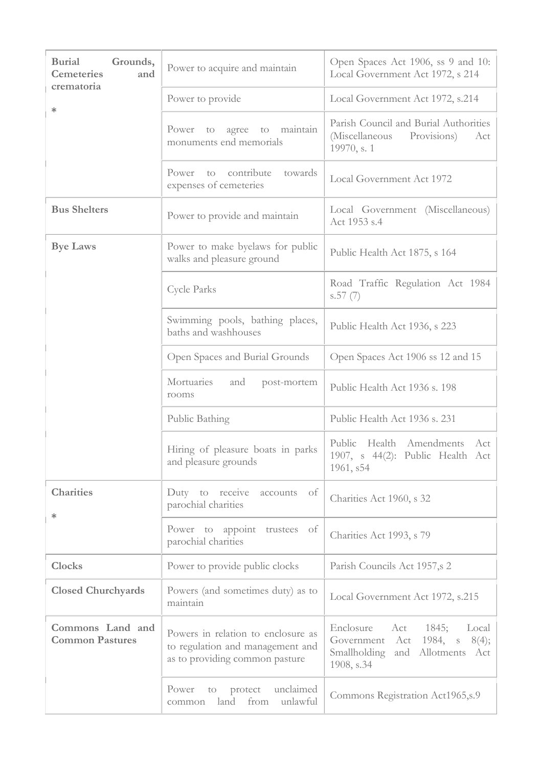| <b>Burial</b><br>Grounds,<br><b>Cemeteries</b><br>and<br>crematoria | Power to acquire and maintain                                                                            | Open Spaces Act 1906, ss 9 and 10:<br>Local Government Act 1972, s 214                                                      |
|---------------------------------------------------------------------|----------------------------------------------------------------------------------------------------------|-----------------------------------------------------------------------------------------------------------------------------|
|                                                                     | Power to provide                                                                                         | Local Government Act 1972, s.214                                                                                            |
| ∗                                                                   | Power to agree to maintain<br>monuments end memorials                                                    | Parish Council and Burial Authorities<br>(Miscellaneous<br>Provisions)<br>Act<br>19970, s. 1                                |
|                                                                     | Power to contribute<br>towards<br>expenses of cemeteries                                                 | Local Government Act 1972                                                                                                   |
| <b>Bus Shelters</b>                                                 | Power to provide and maintain                                                                            | Local Government (Miscellaneous)<br>Act 1953 s.4                                                                            |
| <b>Bye Laws</b>                                                     | Power to make byelaws for public<br>walks and pleasure ground                                            | Public Health Act 1875, s 164                                                                                               |
|                                                                     | Cycle Parks                                                                                              | Road Traffic Regulation Act 1984<br>s.57(7)                                                                                 |
|                                                                     | Swimming pools, bathing places,<br>baths and washhouses                                                  | Public Health Act 1936, s 223                                                                                               |
|                                                                     | Open Spaces and Burial Grounds                                                                           | Open Spaces Act 1906 ss 12 and 15                                                                                           |
|                                                                     | Mortuaries<br>and<br>post-mortem<br>rooms                                                                | Public Health Act 1936 s. 198                                                                                               |
|                                                                     | Public Bathing                                                                                           | Public Health Act 1936 s. 231                                                                                               |
|                                                                     | Hiring of pleasure boats in parks<br>and pleasure grounds                                                | Public<br>Health Amendments Act<br>1907, s 44(2): Public Health Act<br>1961, s54                                            |
| <b>Charities</b><br>∗                                               | Duty to receive<br>of<br>accounts<br>parochial charities                                                 | Charities Act 1960, s 32                                                                                                    |
|                                                                     | Power to appoint trustees of<br>parochial charities                                                      | Charities Act 1993, s 79                                                                                                    |
| <b>Clocks</b>                                                       | Power to provide public clocks                                                                           | Parish Councils Act 1957,s 2                                                                                                |
| <b>Closed Churchyards</b>                                           | Powers (and sometimes duty) as to<br>maintain                                                            | Local Government Act 1972, s.215                                                                                            |
| Commons Land and<br><b>Common Pastures</b>                          | Powers in relation to enclosure as<br>to regulation and management and<br>as to providing common pasture | Enclosure<br>Act 1845;<br>Local<br>Act<br>1984, $s$ 8(4);<br>Government<br>Smallholding<br>and Allotments Act<br>1908, s.34 |
|                                                                     | unclaimed<br>Power<br>protect<br>to<br>land from<br>unlawful<br>common                                   | Commons Registration Act1965,s.9                                                                                            |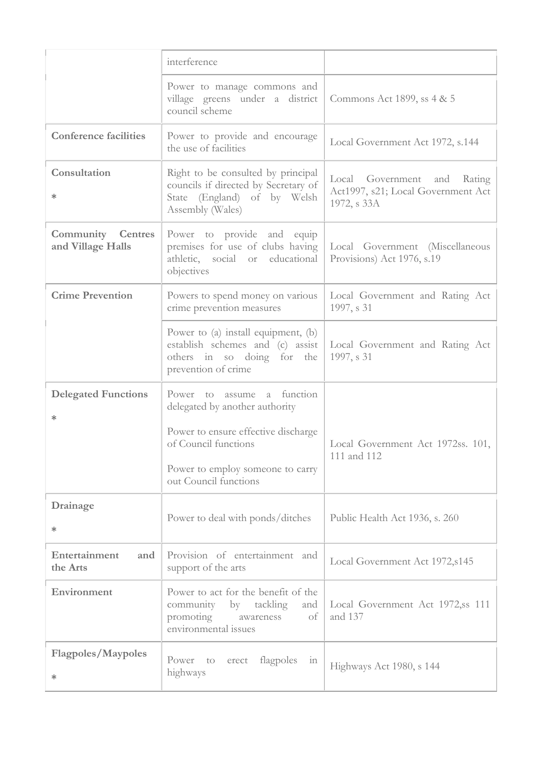|                                               | interference                                                                                                                   |                                                                                  |
|-----------------------------------------------|--------------------------------------------------------------------------------------------------------------------------------|----------------------------------------------------------------------------------|
|                                               | Power to manage commons and<br>village greens under a district<br>council scheme                                               | Commons Act 1899, ss 4 & 5                                                       |
| <b>Conference facilities</b>                  | Power to provide and encourage<br>the use of facilities                                                                        | Local Government Act 1972, s.144                                                 |
| Consultation<br>$\ast$                        | Right to be consulted by principal<br>councils if directed by Secretary of<br>State (England) of by Welsh<br>Assembly (Wales)  | Local Government and Rating<br>Act1997, s21; Local Government Act<br>1972, s 33A |
| <b>Community Centres</b><br>and Village Halls | Power to provide and equip<br>premises for use of clubs having<br>athletic, social or educational<br>objectives                | Local Government (Miscellaneous<br>Provisions) Act 1976, s.19                    |
| <b>Crime Prevention</b>                       | Powers to spend money on various<br>crime prevention measures                                                                  | Local Government and Rating Act<br>1997, s 31                                    |
|                                               | Power to (a) install equipment, (b)<br>establish schemes and (c) assist<br>others in so doing for the<br>prevention of crime   | Local Government and Rating Act<br>1997, s 31                                    |
| <b>Delegated Functions</b><br>$\ast$          | Power to assume a function<br>delegated by another authority                                                                   |                                                                                  |
|                                               | Power to ensure effective discharge<br>of Council functions<br>Power to employ someone to carry<br>out Council functions       | Local Government Act 1972ss. 101,<br>111 and 112                                 |
| Drainage<br>$\ast$                            | Power to deal with ponds/ditches                                                                                               | Public Health Act 1936, s. 260                                                   |
| Entertainment<br>and<br>the Arts              | Provision of entertainment and<br>support of the arts                                                                          | Local Government Act 1972, s145                                                  |
| Environment                                   | Power to act for the benefit of the<br>community<br>by tackling<br>and<br>promoting<br>of<br>awareness<br>environmental issues | Local Government Act 1972, ss 111<br>and 137                                     |
| <b>Flagpoles/Maypoles</b><br>$\ast$           | flagpoles<br>Power<br>to<br>erect<br>111<br>highways                                                                           | Highways Act 1980, s 144                                                         |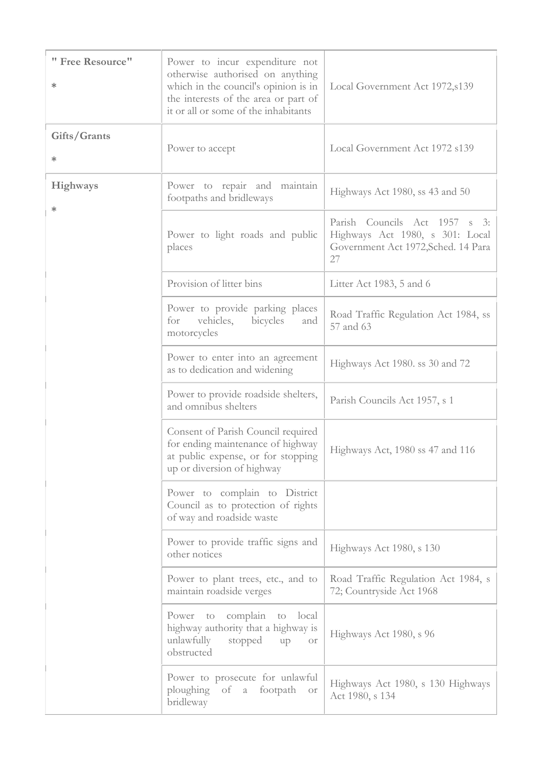| " Free Resource"<br>$\ast$ | Power to incur expenditure not<br>otherwise authorised on anything<br>which in the council's opinion is in<br>the interests of the area or part of<br>it or all or some of the inhabitants | Local Government Act 1972, s139                                                                                          |
|----------------------------|--------------------------------------------------------------------------------------------------------------------------------------------------------------------------------------------|--------------------------------------------------------------------------------------------------------------------------|
| Gifts/Grants<br>∗          | Power to accept                                                                                                                                                                            | Local Government Act 1972 s139                                                                                           |
| <b>Highways</b><br>$\ast$  | Power to repair and maintain<br>footpaths and bridleways                                                                                                                                   | Highways Act 1980, ss 43 and 50                                                                                          |
|                            | Power to light roads and public<br>places                                                                                                                                                  | Parish Councils Act 1957<br>$S \quad 3:$<br>Highways Act 1980, s 301: Local<br>Government Act 1972, Sched. 14 Para<br>27 |
|                            | Provision of litter bins                                                                                                                                                                   | Litter Act 1983, 5 and 6                                                                                                 |
|                            | Power to provide parking places<br>for<br>vehicles,<br>bicycles<br>and<br>motorcycles                                                                                                      | Road Traffic Regulation Act 1984, ss<br>57 and 63                                                                        |
|                            | Power to enter into an agreement<br>as to dedication and widening                                                                                                                          | Highways Act 1980. ss 30 and 72                                                                                          |
|                            | Power to provide roadside shelters,<br>and omnibus shelters                                                                                                                                | Parish Councils Act 1957, s 1                                                                                            |
|                            | Consent of Parish Council required<br>for ending maintenance of highway<br>at public expense, or for stopping<br>up or diversion of highway                                                | Highways Act, 1980 ss 47 and 116                                                                                         |
|                            | Power to complain to District<br>Council as to protection of rights<br>of way and roadside waste                                                                                           |                                                                                                                          |
|                            | Power to provide traffic signs and<br>other notices                                                                                                                                        | Highways Act 1980, s 130                                                                                                 |
|                            | Power to plant trees, etc., and to<br>maintain roadside verges                                                                                                                             | Road Traffic Regulation Act 1984, s<br>72; Countryside Act 1968                                                          |
|                            | Power to complain<br>to local<br>highway authority that a highway is<br>unlawfully<br>stopped<br>up<br>Or<br>obstructed                                                                    | Highways Act 1980, s 96                                                                                                  |
|                            | Power to prosecute for unlawful<br>ploughing<br>of a footpath<br><b>Of</b><br>bridleway                                                                                                    | Highways Act 1980, s 130 Highways<br>Act 1980, s 134                                                                     |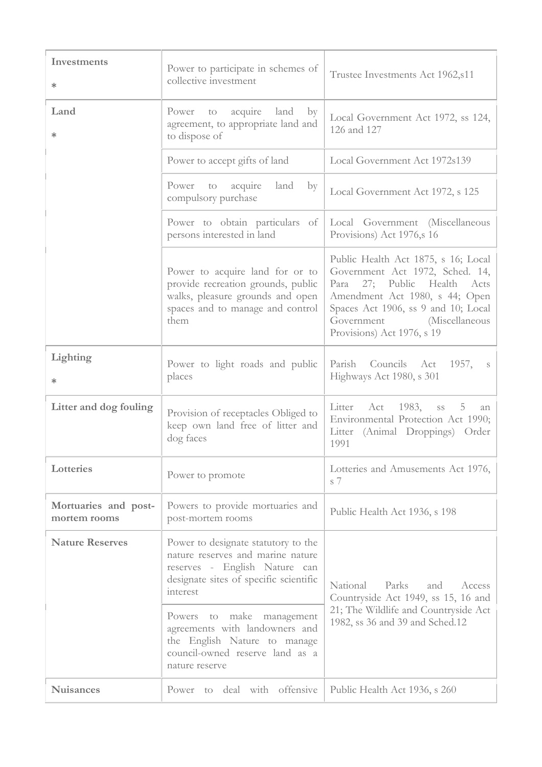| Investments<br>∗                     | Power to participate in schemes of<br>collective investment                                                                                                     | Trustee Investments Act 1962, s11                                                                                                                                                                                                                  |
|--------------------------------------|-----------------------------------------------------------------------------------------------------------------------------------------------------------------|----------------------------------------------------------------------------------------------------------------------------------------------------------------------------------------------------------------------------------------------------|
| Land<br>∗                            | acquire land<br>Power to<br>by<br>agreement, to appropriate land and<br>to dispose of                                                                           | Local Government Act 1972, ss 124,<br>126 and 127                                                                                                                                                                                                  |
|                                      | Power to accept gifts of land                                                                                                                                   | Local Government Act 1972s139                                                                                                                                                                                                                      |
|                                      | acquire<br>land<br>Power to<br>$\mathbf{b}$ y<br>compulsory purchase                                                                                            | Local Government Act 1972, s 125                                                                                                                                                                                                                   |
|                                      | Power to obtain particulars of<br>persons interested in land                                                                                                    | Local Government (Miscellaneous<br>Provisions) Act 1976, s 16                                                                                                                                                                                      |
|                                      | Power to acquire land for or to<br>provide recreation grounds, public<br>walks, pleasure grounds and open<br>spaces and to manage and control<br>them           | Public Health Act 1875, s 16; Local<br>Government Act 1972, Sched. 14,<br>27; Public Health<br>Para<br>Acts<br>Amendment Act 1980, s 44; Open<br>Spaces Act 1906, ss 9 and 10; Local<br>Government<br>(Miscellaneous<br>Provisions) Act 1976, s 19 |
| Lighting<br>∗                        | Power to light roads and public<br>places                                                                                                                       | Parish<br>Councils Act<br>1957,<br>S<br>Highways Act 1980, s 301                                                                                                                                                                                   |
| Litter and dog fouling               | Provision of receptacles Obliged to<br>keep own land free of litter and<br>dog faces                                                                            | Litter Act 1983, ss<br>5<br>an<br>Environmental Protection Act 1990;<br>Litter (Animal Droppings) Order<br>1991                                                                                                                                    |
| Lotteries                            | Power to promote                                                                                                                                                | Lotteries and Amusements Act 1976,<br>s 7                                                                                                                                                                                                          |
| Mortuaries and post-<br>mortem rooms | Powers to provide mortuaries and<br>post-mortem rooms                                                                                                           | Public Health Act 1936, s 198                                                                                                                                                                                                                      |
| <b>Nature Reserves</b>               | Power to designate statutory to the<br>nature reserves and marine nature<br>reserves - English Nature can<br>designate sites of specific scientific<br>interest | Parks<br>National<br>and<br>Access<br>Countryside Act 1949, ss 15, 16 and                                                                                                                                                                          |
|                                      | Powers to make management<br>agreements with landowners and<br>the English Nature to manage<br>council-owned reserve land as a<br>nature reserve                | 21; The Wildlife and Countryside Act<br>1982, ss 36 and 39 and Sched.12                                                                                                                                                                            |
| <b>Nuisances</b>                     | Power to deal with offensive                                                                                                                                    | Public Health Act 1936, s 260                                                                                                                                                                                                                      |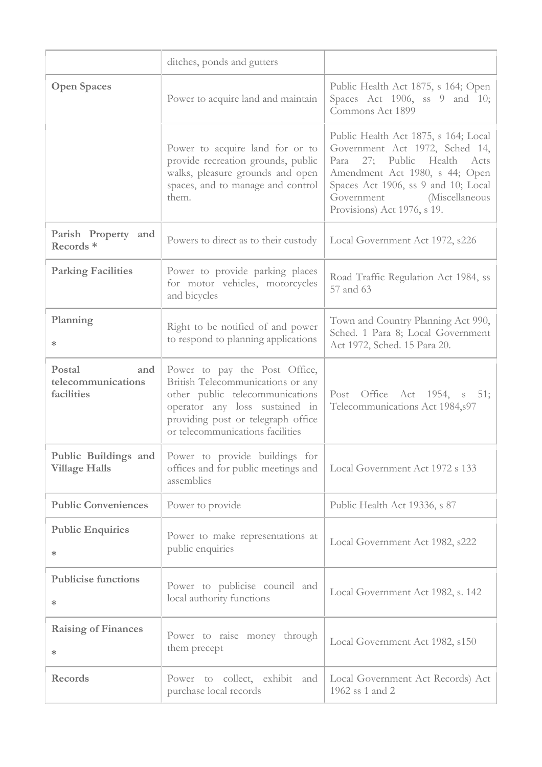|                                                   | ditches, ponds and gutters                                                                                                                                                                                        |                                                                                                                                                                                                                                                     |
|---------------------------------------------------|-------------------------------------------------------------------------------------------------------------------------------------------------------------------------------------------------------------------|-----------------------------------------------------------------------------------------------------------------------------------------------------------------------------------------------------------------------------------------------------|
| <b>Open Spaces</b>                                | Power to acquire land and maintain                                                                                                                                                                                | Public Health Act 1875, s 164; Open<br>Spaces Act 1906, ss 9 and 10;<br>Commons Act 1899                                                                                                                                                            |
|                                                   | Power to acquire land for or to<br>provide recreation grounds, public<br>walks, pleasure grounds and open<br>spaces, and to manage and control<br>them.                                                           | Public Health Act 1875, s 164; Local<br>Government Act 1972, Sched 14,<br>27; Public Health<br>Para<br>Acts<br>Amendment Act 1980, s 44; Open<br>Spaces Act 1906, ss 9 and 10; Local<br>(Miscellaneous<br>Government<br>Provisions) Act 1976, s 19. |
| Parish Property and<br>Records <sup>*</sup>       | Powers to direct as to their custody                                                                                                                                                                              | Local Government Act 1972, s226                                                                                                                                                                                                                     |
| <b>Parking Facilities</b>                         | Power to provide parking places<br>for motor vehicles, motorcycles<br>and bicycles                                                                                                                                | Road Traffic Regulation Act 1984, ss<br>57 and 63                                                                                                                                                                                                   |
| Planning<br>∗                                     | Right to be notified of and power<br>to respond to planning applications                                                                                                                                          | Town and Country Planning Act 990,<br>Sched. 1 Para 8; Local Government<br>Act 1972, Sched. 15 Para 20.                                                                                                                                             |
| Postal<br>and<br>telecommunications<br>facilities | Power to pay the Post Office,<br>British Telecommunications or any<br>other public telecommunications<br>operator any loss sustained in<br>providing post or telegraph office<br>or telecommunications facilities | Post Office Act 1954, s<br>51;<br>Telecommunications Act 1984, s97                                                                                                                                                                                  |
| <b>Village Halls</b>                              | <b>Public Buildings and</b> Power to provide buildings for<br>offices and for public meetings and<br>assemblies                                                                                                   | Local Government Act 1972 s 133                                                                                                                                                                                                                     |
| <b>Public Conveniences</b>                        | Power to provide                                                                                                                                                                                                  | Public Health Act 19336, s 87                                                                                                                                                                                                                       |
| <b>Public Enquiries</b><br>∗                      | Power to make representations at<br>public enquiries                                                                                                                                                              | Local Government Act 1982, s222                                                                                                                                                                                                                     |
| <b>Publicise functions</b><br>∗                   | Power to publicise council and<br>local authority functions                                                                                                                                                       | Local Government Act 1982, s. 142                                                                                                                                                                                                                   |
| <b>Raising of Finances</b><br>∗                   | Power to raise money through<br>them precept                                                                                                                                                                      | Local Government Act 1982, s150                                                                                                                                                                                                                     |
| <b>Records</b>                                    | Power to collect, exhibit and<br>purchase local records                                                                                                                                                           | Local Government Act Records) Act<br>1962 ss 1 and 2                                                                                                                                                                                                |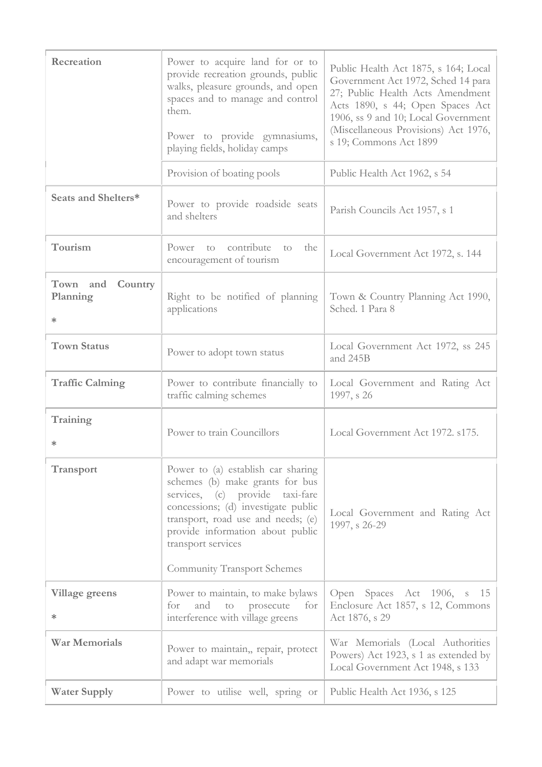| Recreation                                | Power to acquire land for or to<br>provide recreation grounds, public<br>walks, pleasure grounds, and open<br>spaces and to manage and control<br>them.<br>Power to provide gymnasiums,<br>playing fields, holiday camps                                                              | Public Health Act 1875, s 164; Local<br>Government Act 1972, Sched 14 para<br>27; Public Health Acts Amendment<br>Acts 1890, s 44; Open Spaces Act<br>1906, ss 9 and 10; Local Government<br>(Miscellaneous Provisions) Act 1976,<br>s 19; Commons Act 1899 |
|-------------------------------------------|---------------------------------------------------------------------------------------------------------------------------------------------------------------------------------------------------------------------------------------------------------------------------------------|-------------------------------------------------------------------------------------------------------------------------------------------------------------------------------------------------------------------------------------------------------------|
|                                           | Provision of boating pools                                                                                                                                                                                                                                                            | Public Health Act 1962, s 54                                                                                                                                                                                                                                |
| Seats and Shelters*                       | Power to provide roadside seats<br>and shelters                                                                                                                                                                                                                                       | Parish Councils Act 1957, s 1                                                                                                                                                                                                                               |
| Tourism                                   | contribute<br>Power<br>the<br>to<br>to<br>encouragement of tourism                                                                                                                                                                                                                    | Local Government Act 1972, s. 144                                                                                                                                                                                                                           |
| Town and<br>Country<br>Planning<br>$\ast$ | Right to be notified of planning<br>applications                                                                                                                                                                                                                                      | Town & Country Planning Act 1990,<br>Sched. 1 Para 8                                                                                                                                                                                                        |
| <b>Town Status</b>                        | Power to adopt town status                                                                                                                                                                                                                                                            | Local Government Act 1972, ss 245<br>and 245B                                                                                                                                                                                                               |
| <b>Traffic Calming</b>                    | Power to contribute financially to<br>traffic calming schemes                                                                                                                                                                                                                         | Local Government and Rating Act<br>1997, s 26                                                                                                                                                                                                               |
| Training<br>∗                             | Power to train Councillors                                                                                                                                                                                                                                                            | Local Government Act 1972. s175.                                                                                                                                                                                                                            |
| <b>Transport</b>                          | Power to (a) establish car sharing<br>schemes (b) make grants for bus<br>services, (c) provide taxi-fare<br>concessions; (d) investigate public<br>transport, road use and needs; (e)<br>provide information about public<br>transport services<br><b>Community Transport Schemes</b> | Local Government and Rating Act<br>1997, s 26-29                                                                                                                                                                                                            |
| <b>Village greens</b><br>∗                | Power to maintain, to make bylaws<br>and<br>$\rm{to}$<br>prosecute<br>for<br>for<br>interference with village greens                                                                                                                                                                  | Open Spaces Act 1906, s<br>15<br>Enclosure Act 1857, s 12, Commons<br>Act 1876, s 29                                                                                                                                                                        |
| <b>War Memorials</b>                      | Power to maintain,, repair, protect<br>and adapt war memorials                                                                                                                                                                                                                        | War Memorials (Local Authorities<br>Powers) Act 1923, s 1 as extended by<br>Local Government Act 1948, s 133                                                                                                                                                |
| <b>Water Supply</b>                       | Power to utilise well, spring or                                                                                                                                                                                                                                                      | Public Health Act 1936, s 125                                                                                                                                                                                                                               |
|                                           |                                                                                                                                                                                                                                                                                       |                                                                                                                                                                                                                                                             |